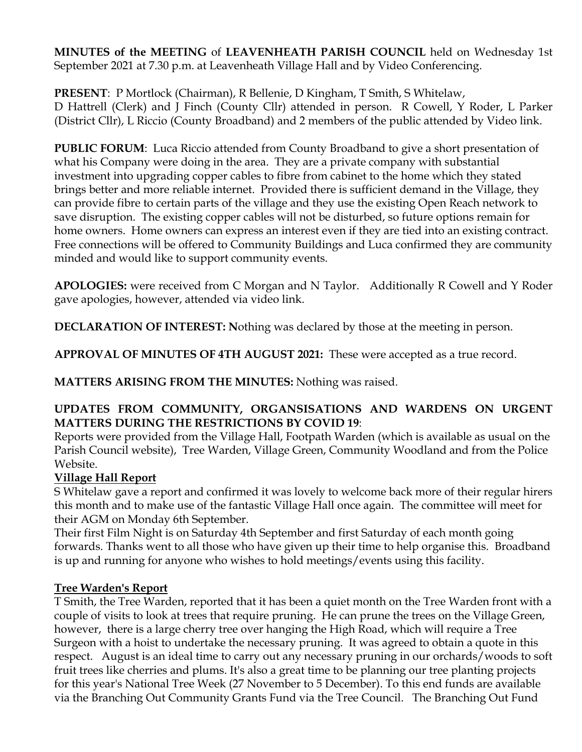**MINUTES of the MEETING** of **LEAVENHEATH PARISH COUNCIL** held on Wednesday 1st September 2021 at 7.30 p.m. at Leavenheath Village Hall and by Video Conferencing.

**PRESENT**: P Mortlock (Chairman), R Bellenie, D Kingham, T Smith, S Whitelaw, D Hattrell (Clerk) and J Finch (County Cllr) attended in person. R Cowell, Y Roder, L Parker (District Cllr), L Riccio (County Broadband) and 2 members of the public attended by Video link.

**PUBLIC FORUM**: Luca Riccio attended from County Broadband to give a short presentation of what his Company were doing in the area. They are a private company with substantial investment into upgrading copper cables to fibre from cabinet to the home which they stated brings better and more reliable internet. Provided there is sufficient demand in the Village, they can provide fibre to certain parts of the village and they use the existing Open Reach network to save disruption. The existing copper cables will not be disturbed, so future options remain for home owners. Home owners can express an interest even if they are tied into an existing contract. Free connections will be offered to Community Buildings and Luca confirmed they are community minded and would like to support community events.

**APOLOGIES:** were received from C Morgan and N Taylor. Additionally R Cowell and Y Roder gave apologies, however, attended via video link.

**DECLARATION OF INTEREST: N**othing was declared by those at the meeting in person.

**APPROVAL OF MINUTES OF 4TH AUGUST 2021:** These were accepted as a true record.

**MATTERS ARISING FROM THE MINUTES:** Nothing was raised.

### **UPDATES FROM COMMUNITY, ORGANSISATIONS AND WARDENS ON URGENT MATTERS DURING THE RESTRICTIONS BY COVID 19**:

Reports were provided from the Village Hall, Footpath Warden (which is available as usual on the Parish Council website), Tree Warden, Village Green, Community Woodland and from the Police Website.

## **Village Hall Report**

S Whitelaw gave a report and confirmed it was lovely to welcome back more of their regular hirers this month and to make use of the fantastic Village Hall once again. The committee will meet for their AGM on Monday 6th September.

Their first Film Night is on Saturday 4th September and first Saturday of each month going forwards. Thanks went to all those who have given up their time to help organise this. Broadband is up and running for anyone who wishes to hold meetings/events using this facility.

### **Tree Warden's Report**

T Smith, the Tree Warden, reported that it has been a quiet month on the Tree Warden front with a couple of visits to look at trees that require pruning. He can prune the trees on the Village Green, however, there is a large cherry tree over hanging the High Road, which will require a Tree Surgeon with a hoist to undertake the necessary pruning. It was agreed to obtain a quote in this respect. August is an ideal time to carry out any necessary pruning in our orchards/woods to soft fruit trees like cherries and plums. It's also a great time to be planning our tree planting projects for this year's National Tree Week (27 November to 5 December). To this end funds are available via the Branching Out Community Grants Fund via the Tree Council. The Branching Out Fund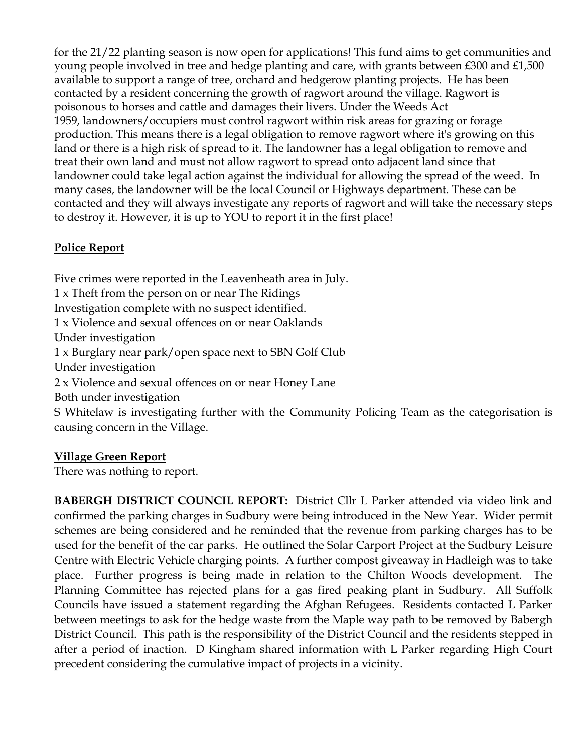for the 21/22 planting season is now open for applications! This fund aims to get communities and young people involved in tree and hedge planting and care, with grants between £300 and £1,500 available to support a range of tree, orchard and hedgerow planting projects. He has been contacted by a resident concerning the growth of ragwort around the village. Ragwort is poisonous to horses and cattle and damages their livers. Under the Weeds Act 1959, landowners/occupiers must control ragwort within risk areas for grazing or forage production. This means there is a legal obligation to remove ragwort where it's growing on this land or there is a high risk of spread to it. The landowner has a legal obligation to remove and treat their own land and must not allow ragwort to spread onto adjacent land since that landowner could take legal action against the individual for allowing the spread of the weed. In many cases, the landowner will be the local Council or Highways department. These can be contacted and they will always investigate any reports of ragwort and will take the necessary steps to destroy it. However, it is up to YOU to report it in the first place!

# **Police Report**

Five crimes were reported in the Leavenheath area in July. 1 x Theft from the person on or near The Ridings Investigation complete with no suspect identified. 1 x Violence and sexual offences on or near Oaklands Under investigation 1 x Burglary near park/open space next to SBN Golf Club Under investigation 2 x Violence and sexual offences on or near Honey Lane Both under investigation S Whitelaw is investigating further with the Community Policing Team as the categorisation is causing concern in the Village.

## **Village Green Report**

There was nothing to report.

**BABERGH DISTRICT COUNCIL REPORT:** District Cllr L Parker attended via video link and confirmed the parking charges in Sudbury were being introduced in the New Year. Wider permit schemes are being considered and he reminded that the revenue from parking charges has to be used for the benefit of the car parks. He outlined the Solar Carport Project at the Sudbury Leisure Centre with Electric Vehicle charging points. A further compost giveaway in Hadleigh was to take place. Further progress is being made in relation to the Chilton Woods development. The Planning Committee has rejected plans for a gas fired peaking plant in Sudbury. All Suffolk Councils have issued a statement regarding the Afghan Refugees. Residents contacted L Parker between meetings to ask for the hedge waste from the Maple way path to be removed by Babergh District Council. This path is the responsibility of the District Council and the residents stepped in after a period of inaction. D Kingham shared information with L Parker regarding High Court precedent considering the cumulative impact of projects in a vicinity.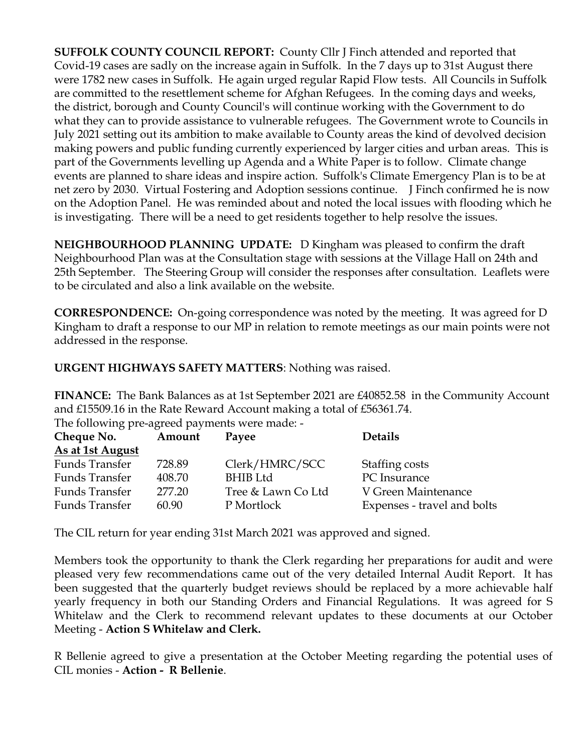**SUFFOLK COUNTY COUNCIL REPORT:** County Cllr J Finch attended and reported that Covid-19 cases are sadly on the increase again in Suffolk. In the 7 days up to 31st August there were 1782 new cases in Suffolk. He again urged regular Rapid Flow tests. All Councils in Suffolk are committed to the resettlement scheme for Afghan Refugees. In the coming days and weeks, the district, borough and County Council's will continue working with the Government to do what they can to provide assistance to vulnerable refugees. The Government wrote to Councils in July 2021 setting out its ambition to make available to County areas the kind of devolved decision making powers and public funding currently experienced by larger cities and urban areas. This is part of the Governments levelling up Agenda and a White Paper is to follow. Climate change events are planned to share ideas and inspire action. Suffolk's Climate Emergency Plan is to be at net zero by 2030. Virtual Fostering and Adoption sessions continue. J Finch confirmed he is now on the Adoption Panel. He was reminded about and noted the local issues with flooding which he is investigating. There will be a need to get residents together to help resolve the issues.

**NEIGHBOURHOOD PLANNING UPDATE:** D Kingham was pleased to confirm the draft Neighbourhood Plan was at the Consultation stage with sessions at the Village Hall on 24th and 25th September. The Steering Group will consider the responses after consultation. Leaflets were to be circulated and also a link available on the website.

**CORRESPONDENCE:** On-going correspondence was noted by the meeting. It was agreed for D Kingham to draft a response to our MP in relation to remote meetings as our main points were not addressed in the response.

**URGENT HIGHWAYS SAFETY MATTERS**: Nothing was raised.

**FINANCE:** The Bank Balances as at 1st September 2021 are £40852.58 in the Community Account and £15509.16 in the Rate Reward Account making a total of £56361.74. The following pre-agreed payments were made: -

| Cheque No.       | Amount | Payee              | <b>Details</b>              |
|------------------|--------|--------------------|-----------------------------|
| As at 1st August |        |                    |                             |
| Funds Transfer   | 728.89 | Clerk/HMRC/SCC     | Staffing costs              |
| Funds Transfer   | 408.70 | <b>BHIB</b> Ltd    | PC Insurance                |
| Funds Transfer   | 277.20 | Tree & Lawn Co Ltd | V Green Maintenance         |
| Funds Transfer   | 60.90  | P Mortlock         | Expenses - travel and bolts |

The CIL return for year ending 31st March 2021 was approved and signed.

Members took the opportunity to thank the Clerk regarding her preparations for audit and were pleased very few recommendations came out of the very detailed Internal Audit Report. It has been suggested that the quarterly budget reviews should be replaced by a more achievable half yearly frequency in both our Standing Orders and Financial Regulations. It was agreed for S Whitelaw and the Clerk to recommend relevant updates to these documents at our October Meeting - **Action S Whitelaw and Clerk.**

R Bellenie agreed to give a presentation at the October Meeting regarding the potential uses of CIL monies - **Action - R Bellenie**.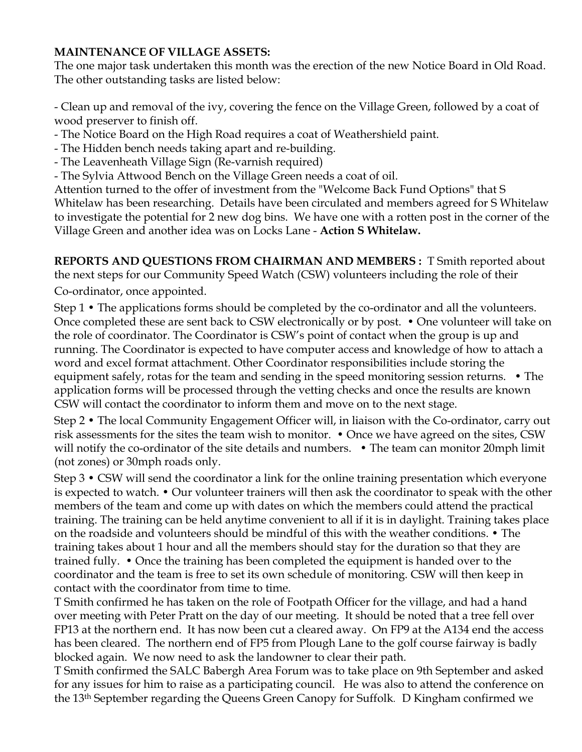### **MAINTENANCE OF VILLAGE ASSETS:**

The one major task undertaken this month was the erection of the new Notice Board in Old Road. The other outstanding tasks are listed below:

- Clean up and removal of the ivy, covering the fence on the Village Green, followed by a coat of wood preserver to finish off.

- The Notice Board on the High Road requires a coat of Weathershield paint.
- The Hidden bench needs taking apart and re-building.
- The Leavenheath Village Sign (Re-varnish required)
- The Sylvia Attwood Bench on the Village Green needs a coat of oil.

Attention turned to the offer of investment from the "Welcome Back Fund Options" that S Whitelaw has been researching. Details have been circulated and members agreed for S Whitelaw to investigate the potential for 2 new dog bins. We have one with a rotten post in the corner of the Village Green and another idea was on Locks Lane - **Action S Whitelaw.**

**REPORTS AND QUESTIONS FROM CHAIRMAN AND MEMBERS :** T Smith reported about the next steps for our Community Speed Watch (CSW) volunteers including the role of their Co-ordinator, once appointed.

Step 1 • The applications forms should be completed by the co-ordinator and all the volunteers. Once completed these are sent back to CSW electronically or by post. • One volunteer will take on the role of coordinator. The Coordinator is CSW's point of contact when the group is up and running. The Coordinator is expected to have computer access and knowledge of how to attach a word and excel format attachment. Other Coordinator responsibilities include storing the equipment safely, rotas for the team and sending in the speed monitoring session returns. • The application forms will be processed through the vetting checks and once the results are known CSW will contact the coordinator to inform them and move on to the next stage.

Step 2 • The local Community Engagement Officer will, in liaison with the Co-ordinator, carry out risk assessments for the sites the team wish to monitor. • Once we have agreed on the sites, CSW will notify the co-ordinator of the site details and numbers. • The team can monitor 20mph limit (not zones) or 30mph roads only.

Step 3 • CSW will send the coordinator a link for the online training presentation which everyone is expected to watch. • Our volunteer trainers will then ask the coordinator to speak with the other members of the team and come up with dates on which the members could attend the practical training. The training can be held anytime convenient to all if it is in daylight. Training takes place on the roadside and volunteers should be mindful of this with the weather conditions. • The training takes about 1 hour and all the members should stay for the duration so that they are trained fully. • Once the training has been completed the equipment is handed over to the coordinator and the team is free to set its own schedule of monitoring. CSW will then keep in contact with the coordinator from time to time.

T Smith confirmed he has taken on the role of Footpath Officer for the village, and had a hand over meeting with Peter Pratt on the day of our meeting. It should be noted that a tree fell over FP13 at the northern end. It has now been cut a cleared away. On FP9 at the A134 end the access has been cleared. The northern end of FP5 from Plough Lane to the golf course fairway is badly blocked again. We now need to ask the landowner to clear their path.

T Smith confirmed the SALC Babergh Area Forum was to take place on 9th September and asked for any issues for him to raise as a participating council. He was also to attend the conference on the 13th September regarding the Queens Green Canopy for Suffolk. D Kingham confirmed we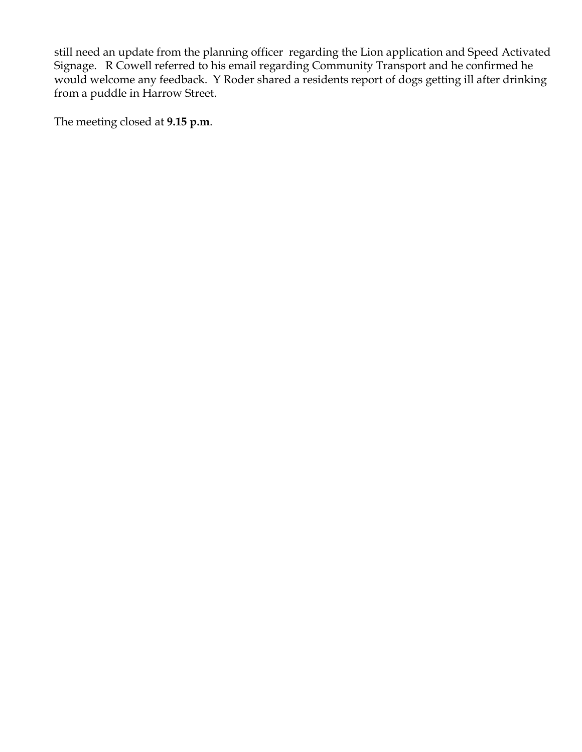still need an update from the planning officer regarding the Lion application and Speed Activated Signage. R Cowell referred to his email regarding Community Transport and he confirmed he would welcome any feedback. Y Roder shared a residents report of dogs getting ill after drinking from a puddle in Harrow Street.

The meeting closed at **9.15 p.m**.